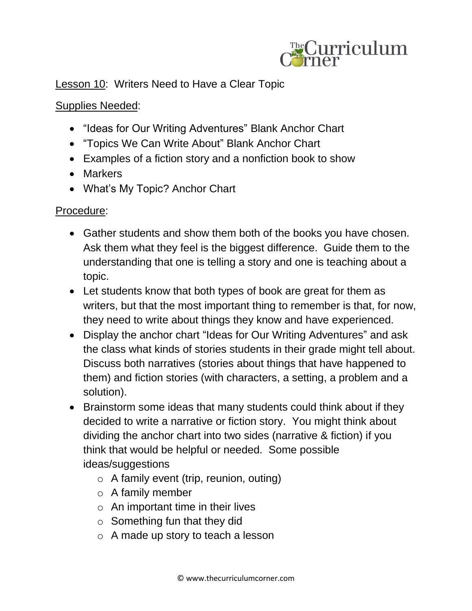

Lesson 10: Writers Need to Have a Clear Topic

## Supplies Needed:

- "Ideas for Our Writing Adventures" Blank Anchor Chart
- "Topics We Can Write About" Blank Anchor Chart
- Examples of a fiction story and a nonfiction book to show
- Markers
- What's My Topic? Anchor Chart

## Procedure:

- Gather students and show them both of the books you have chosen. Ask them what they feel is the biggest difference. Guide them to the understanding that one is telling a story and one is teaching about a topic.
- Let students know that both types of book are great for them as writers, but that the most important thing to remember is that, for now, they need to write about things they know and have experienced.
- Display the anchor chart "Ideas for Our Writing Adventures" and ask the class what kinds of stories students in their grade might tell about. Discuss both narratives (stories about things that have happened to them) and fiction stories (with characters, a setting, a problem and a solution).
- Brainstorm some ideas that many students could think about if they decided to write a narrative or fiction story. You might think about dividing the anchor chart into two sides (narrative & fiction) if you think that would be helpful or needed. Some possible ideas/suggestions
	- o A family event (trip, reunion, outing)
	- $\circ$  A family member
	- $\circ$  An important time in their lives
	- $\circ$  Something fun that they did
	- o A made up story to teach a lesson